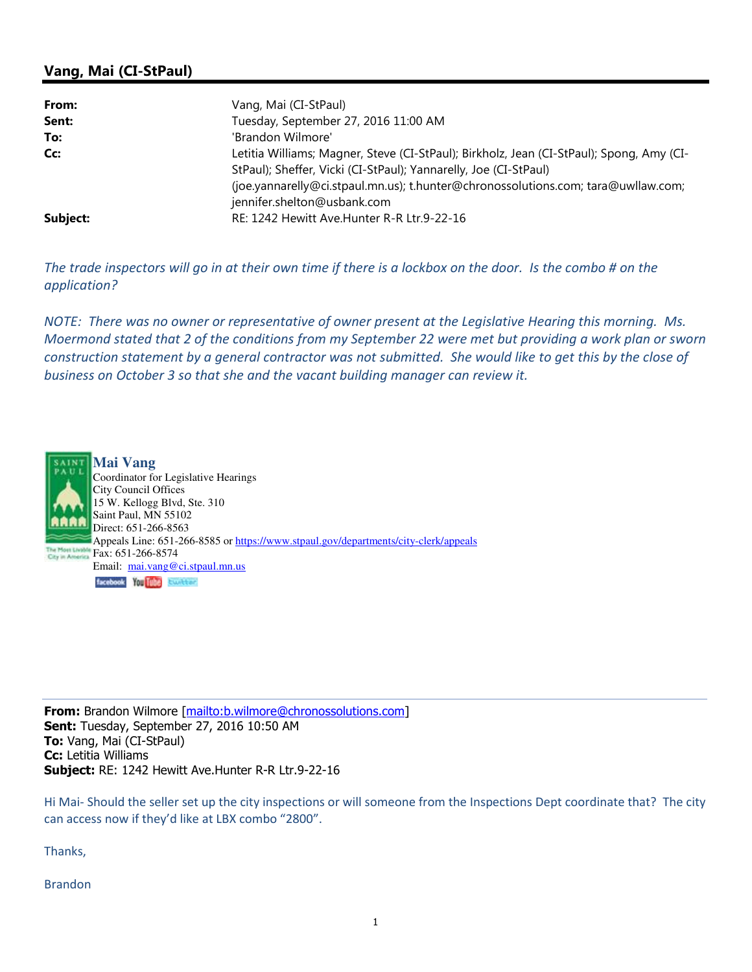## Vang, Mai (CI-StPaul)

| From:    | Vang, Mai (CI-StPaul)                                                                    |
|----------|------------------------------------------------------------------------------------------|
| Sent:    | Tuesday, September 27, 2016 11:00 AM                                                     |
| To:      | 'Brandon Wilmore'                                                                        |
| Cc:      | Letitia Williams; Magner, Steve (CI-StPaul); Birkholz, Jean (CI-StPaul); Spong, Amy (CI- |
|          | StPaul); Sheffer, Vicki (CI-StPaul); Yannarelly, Joe (CI-StPaul)                         |
|          | (joe.yannarelly@ci.stpaul.mn.us); t.hunter@chronossolutions.com; tara@uwllaw.com;        |
|          | jennifer.shelton@usbank.com                                                              |
| Subject: | RE: 1242 Hewitt Ave. Hunter R-R Ltr. 9-22-16                                             |

The trade inspectors will go in at their own time if there is a lockbox on the door. Is the combo # on the application?

NOTE: There was no owner or representative of owner present at the Legislative Hearing this morning. Ms. Moermond stated that 2 of the conditions from my September 22 were met but providing a work plan or sworn construction statement by a general contractor was not submitted. She would like to get this by the close of business on October 3 so that she and the vacant building manager can review it.



From: Brandon Wilmore [mailto:b.wilmore@chronossolutions.com] Sent: Tuesday, September 27, 2016 10:50 AM To: Vang, Mai (CI-StPaul) Cc: Letitia Williams Subject: RE: 1242 Hewitt Ave.Hunter R-R Ltr.9-22-16

Hi Mai- Should the seller set up the city inspections or will someone from the Inspections Dept coordinate that? The city can access now if they'd like at LBX combo "2800".

Thanks,

Brandon